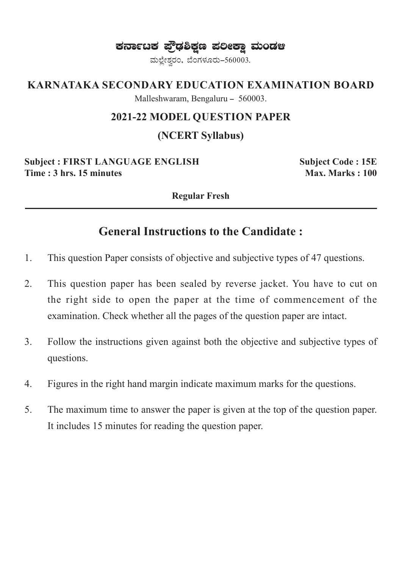ಕರ್ನಾಟಕ ಫ್ರೌಢಶಿಕ್ಷಣ ಪಲೀಕ್ಷಾ ಮಂಡಆ

ಮಲ್ಲೇಶ್ವರಂ, ಬೆಂಗಳೂರು-560003.

### **KARNATAKA SECONDARY EDUCATION EXAMINATION BOARD**

Malleshwaram, Bengaluru - 560003.

#### **2021-22 MODEL QUESTION PAPER**

## **(NCERT Syllabus)**

**Subject : FIRST LANGUAGE ENGLISH Subject Code : 15E Time : 3 hrs. 15 minutes**  Max. Marks : 100

**Regular Fresh**

# **General Instructions to the Candidate :**

- 1. This question Paper consists of objective and subjective types of 47 questions.
- 2. This question paper has been sealed by reverse jacket. You have to cut on the right side to open the paper at the time of commencement of the examination. Check whether all the pages of the question paper are intact.
- 3. Follow the instructions given against both the objective and subjective types of questions.
- 4. Figures in the right hand margin indicate maximum marks for the questions.
- 5. The maximum time to answer the paper is given at the top of the question paper. It includes 15 minutes for reading the question paper.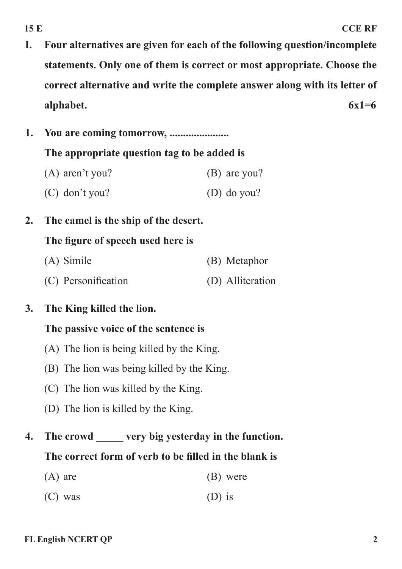- **I. Four alternatives are given for each of the following question/incomplete statements. Only one of them is correct or most appropriate. Choose the correct alternative and write the complete answer along with its letter of alphabet. 6x1=6**
- **1. You are coming tomorrow, ...................... The appropriate question tag to be added is** (A) aren't you? (B) are you? (C) don't you? (D) do you?
- **2. The camel is the ship of the desert.**

## **The figure of speech used here is**

(A) Simile (B) Metaphor (C) Personification (D) Alliteration

## **3. The King killed the lion.**

### **The passive voice of the sentence is**

- (A) The lion is being killed by the King.
- (B) The lion was being killed by the King.
- (C) The lion was killed by the King.
- (D) The lion is killed by the King.
- **4. The crowd \_\_\_\_\_ very big yesterday in the function. The correct form of verb to be filled in the blank is**
	- $(A)$  are  $(B)$  were
	- $(C)$  was  $(D)$  is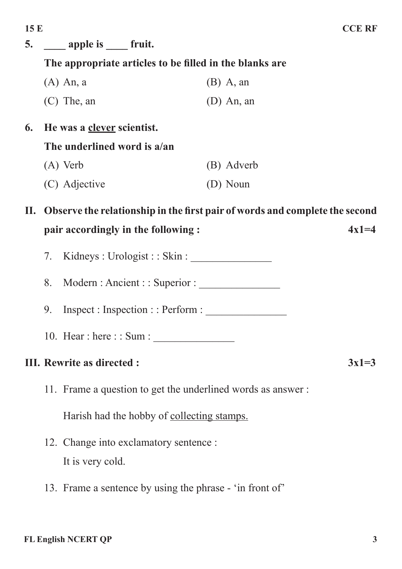| 5.                                |                                                                                                                   | apple is fruit.                                   |              |         |  |
|-----------------------------------|-------------------------------------------------------------------------------------------------------------------|---------------------------------------------------|--------------|---------|--|
|                                   | The appropriate articles to be filled in the blanks are                                                           |                                                   |              |         |  |
|                                   |                                                                                                                   | $(A)$ An, a                                       | $(B)$ A, an  |         |  |
|                                   |                                                                                                                   | $(C)$ The, an                                     | $(D)$ An, an |         |  |
| 6.                                |                                                                                                                   | He was a clever scientist.                        |              |         |  |
|                                   | The underlined word is a/an                                                                                       |                                                   |              |         |  |
|                                   |                                                                                                                   | $(A)$ Verb                                        | (B) Adverb   |         |  |
|                                   |                                                                                                                   | (C) Adjective                                     | (D) Noun     |         |  |
| П.                                | Observe the relationship in the first pair of words and complete the second<br>pair accordingly in the following: |                                                   |              |         |  |
|                                   |                                                                                                                   |                                                   |              | $4x1=4$ |  |
|                                   | 7.                                                                                                                | Kidneys : Urologist : : Skin :                    |              |         |  |
|                                   | Modern: Ancient:: Superior:<br>8.                                                                                 |                                                   |              |         |  |
|                                   | 9.                                                                                                                | Inspect: Inspection:: Perform:                    |              |         |  |
|                                   | 10. Hear : here : : Sum :                                                                                         |                                                   |              |         |  |
| <b>III. Rewrite as directed :</b> |                                                                                                                   |                                                   |              | $3x1=3$ |  |
|                                   | 11. Frame a question to get the underlined words as answer:                                                       |                                                   |              |         |  |
|                                   |                                                                                                                   | Harish had the hobby of <u>collecting stamps.</u> |              |         |  |
|                                   | 12. Change into exclamatory sentence :                                                                            |                                                   |              |         |  |
|                                   |                                                                                                                   | It is very cold.                                  |              |         |  |

13. Frame a sentence by using the phrase - 'in front of'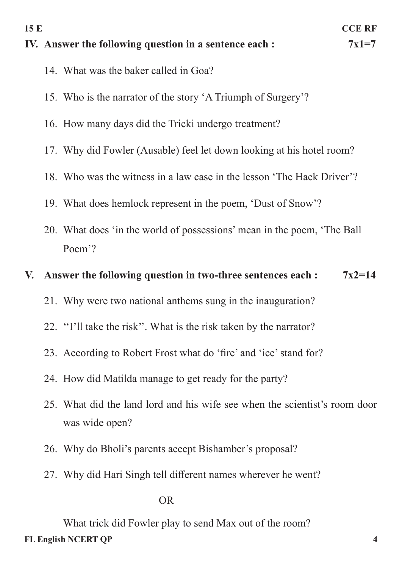- **IV.** Answer the following question in a sentence each :  $7x1=7$ 
	- 14. What was the baker called in Goa?
	- 15. Who is the narrator of the story 'A Triumph of Surgery'?
	- 16. How many days did the Tricki undergo treatment?
	- 17. Why did Fowler (Ausable) feel let down looking at his hotel room?
	- 18. Who was the witness in a law case in the lesson 'The Hack Driver'?
	- 19. What does hemlock represent in the poem, 'Dust of Snow'?
	- 20. What does 'in the world of possessions' mean in the poem, 'The Ball Poem'?

## **V. Answer the following question in two-three sentences each : 7x2=14**

- 21. Why were two national anthems sung in the inauguration?
- 22. ''I'll take the risk''. What is the risk taken by the narrator?
- 23. According to Robert Frost what do 'fire' and 'ice' stand for?
- 24. How did Matilda manage to get ready for the party?
- 25. What did the land lord and his wife see when the scientist's room door was wide open?
- 26. Why do Bholi's parents accept Bishamber's proposal?
- 27. Why did Hari Singh tell different names wherever he went?

#### OR

**FL English NCERT QP 4** What trick did Fowler play to send Max out of the room?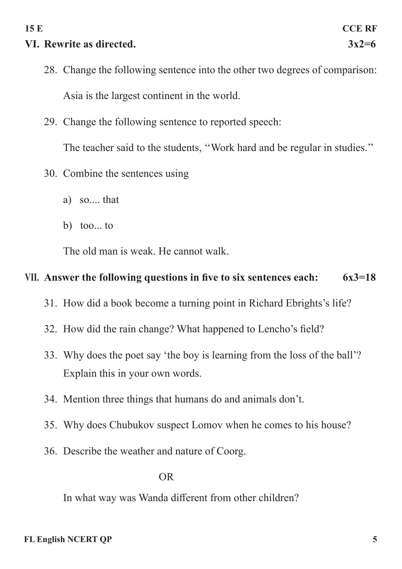# **VI. Rewrite as directed. 3x2=6**

- 28. Change the following sentence into the other two degrees of comparison: Asia is the largest continent in the world.
- 29. Change the following sentence to reported speech:

The teacher said to the students, ''Work hard and be regular in studies.''

- 30. Combine the sentences using
	- a) so.... that
	- b) too... to

The old man is weak. He cannot walk.

# **VII. Answer the following questions in five to six sentences each: 6x3=18**

- 31. How did a book become a turning point in Richard Ebrights's life?
- 32. How did the rain change? What happened to Lencho's field?
- 33. Why does the poet say 'the boy is learning from the loss of the ball'? Explain this in your own words.
- 34. Mention three things that humans do and animals don't.
- 35. Why does Chubukov suspect Lomov when he comes to his house?
- 36. Describe the weather and nature of Coorg.

## OR

In what way was Wanda different from other children?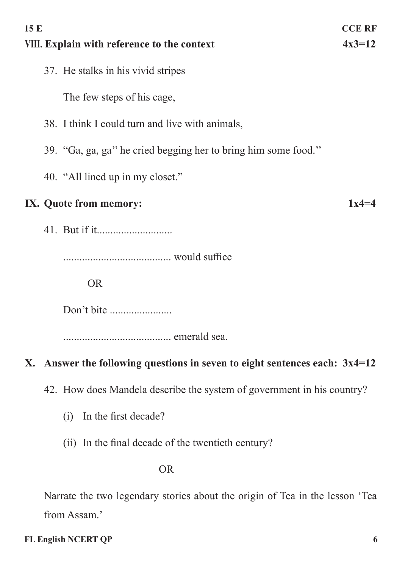| 15 E<br><b>CCE RF</b><br>$4x3=12$<br><b>VIII. Explain with reference to the context</b> |  |  |  |
|-----------------------------------------------------------------------------------------|--|--|--|
| 37. He stalks in his vivid stripes                                                      |  |  |  |
| The few steps of his cage,                                                              |  |  |  |
| 38. I think I could turn and live with animals,                                         |  |  |  |
| 39. "Ga, ga, ga" he cried begging her to bring him some food."                          |  |  |  |
| 40. "All lined up in my closet."                                                        |  |  |  |
| IX. Quote from memory:                                                                  |  |  |  |
|                                                                                         |  |  |  |
|                                                                                         |  |  |  |
| <b>OR</b>                                                                               |  |  |  |
| Don't bite                                                                              |  |  |  |
|                                                                                         |  |  |  |
| X. Answer the following questions in seven to eight sentences each: $3x4=12$            |  |  |  |

42. How does Mandela describe the system of government in his country?

- (i) In the first decade?
- (ii) In the final decade of the twentieth century?

OR

Narrate the two legendary stories about the origin of Tea in the lesson 'Tea from Assam.'

## **FL English NCERT QP 6**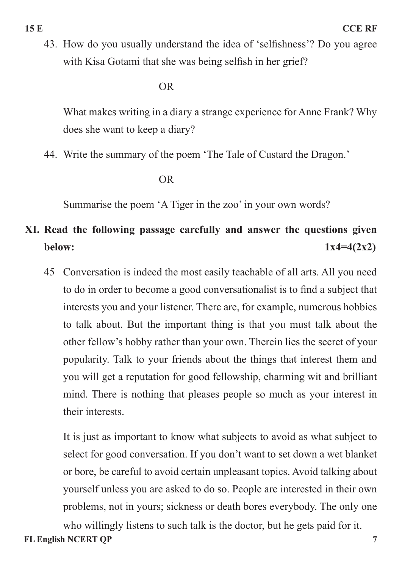43. How do you usually understand the idea of 'selfishness'? Do you agree with Kisa Gotami that she was being selfish in her grief?

#### OR

What makes writing in a diary a strange experience for Anne Frank? Why does she want to keep a diary?

44. Write the summary of the poem 'The Tale of Custard the Dragon.'

#### OR

Summarise the poem 'A Tiger in the zoo' in your own words?

# **XI. Read the following passage carefully and answer the questions given below:**  $1x4=4(2x2)$

45 Conversation is indeed the most easily teachable of all arts. All you need to do in order to become a good conversationalist is to find a subject that interests you and your listener. There are, for example, numerous hobbies to talk about. But the important thing is that you must talk about the other fellow's hobby rather than your own. Therein lies the secret of your popularity. Talk to your friends about the things that interest them and you will get a reputation for good fellowship, charming wit and brilliant mind. There is nothing that pleases people so much as your interest in their interests.

It is just as important to know what subjects to avoid as what subject to select for good conversation. If you don't want to set down a wet blanket or bore, be careful to avoid certain unpleasant topics. Avoid talking about yourself unless you are asked to do so. People are interested in their own problems, not in yours; sickness or death bores everybody. The only one

**FL English NCERT QP 7** who willingly listens to such talk is the doctor, but he gets paid for it.